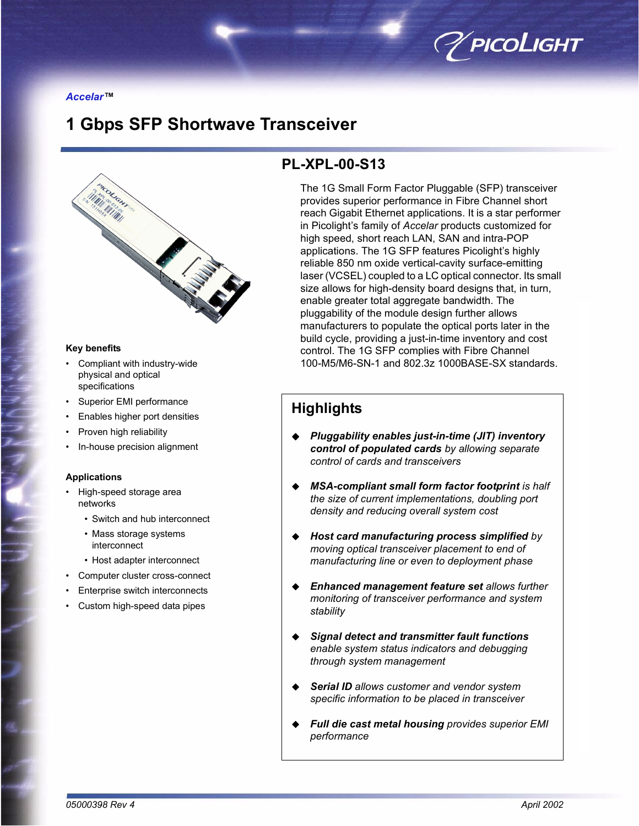

**Accelar™** 

# **1 Gbps SFP Shortwave Transceiver**



#### **Key benefits**

- Compliant with industry-wide physical and optical specifications
- Superior EMI performance
- Enables higher port densities
- Proven high reliability
- In-house precision alignment

#### **Applications**

- High-speed storage area networks
	- Switch and hub interconnect
	- Mass storage systems interconnect
	- Host adapter interconnect
- Computer cluster cross-connect
- Enterprise switch interconnects
- Custom high-speed data pipes

# **PL-XPL-00-S13**

The 1G Small Form Factor Pluggable (SFP) transceiver provides superior performance in Fibre Channel short reach Gigabit Ethernet applications. It is a star performer in Picolight's family of *Accelar* products customized for high speed, short reach LAN, SAN and intra-POP applications. The 1G SFP features Picolight's highly reliable 850 nm oxide vertical-cavity surface-emitting laser (VCSEL) coupled to a LC optical connector. Its small size allows for high-density board designs that, in turn, enable greater total aggregate bandwidth. The pluggability of the module design further allows manufacturers to populate the optical ports later in the build cycle, providing a just-in-time inventory and cost control. The 1G SFP complies with Fibre Channel 100-M5/M6-SN-1 and 802.3z 1000BASE-SX standards.

# **Highlights**

- ! *Pluggability enables just-in-time (JIT) inventory control of populated cards by allowing separate control of cards and transceivers*
- ! *MSA-compliant small form factor footprint is half the size of current implementations, doubling port density and reducing overall system cost*
- ! *Host card manufacturing process simplified by moving optical transceiver placement to end of manufacturing line or even to deployment phase*
- ! *Enhanced management feature set allows further monitoring of transceiver performance and system stability*
- ! *Signal detect and transmitter fault functions enable system status indicators and debugging through system management*
- ! *Serial ID allows customer and vendor system specific information to be placed in transceiver*
- ! *Full die cast metal housing provides superior EMI performance*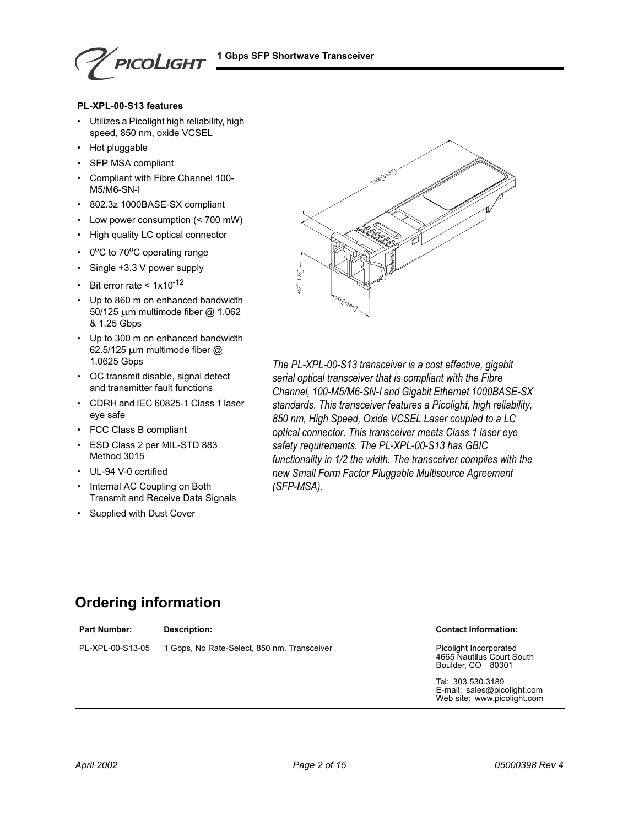PICOLIGHT

#### **PL-XPL-00-S13 features**

- Utilizes a Picolight high reliability, high speed, 850 nm, oxide VCSEL
- Hot pluggable
- SFP MSA compliant
- Compliant with Fibre Channel 100-M5/M6-SN-I
- 802.3z 1000BASE-SX compliant
- $\cdot$  Low power consumption (< 700 mW)
- High quality LC optical connector
- $\cdot$  0<sup>o</sup>C to 70<sup>o</sup>C operating range
- $\cdot$  Single +3.3 V power supply
- Bit error rate <  $1x10^{-12}$
- Up to 860 m on enhanced bandwidth 50/125 µm multimode fiber @ 1.062 & 1.25 Gbps
- Up to 300 m on enhanced bandwidth 62.5/125 µm multimode fiber @ 1.0625 Gbps
- OC transmit disable, signal detect and transmitter fault functions
- CDRH and IEC 60825-1 Class 1 laser eye safe
- FCC Class B compliant
- ESD Class 2 per MIL-STD 883 Method 3015
- UL-94 V-0 certified
- Internal AC Coupling on Both Transmit and Receive Data Signals
- Supplied with Dust Cover



*The PL-XPL-00-S13 transceiver is a cost effective, gigabit serial optical transceiver that is compliant with the Fibre Channel, 100-M5/M6-SN-I and Gigabit Ethernet 1000BASE-SX standards. This transceiver features a Picolight, high reliability, 850 nm, High Speed, Oxide VCSEL Laser coupled to a LC optical connector. This transceiver meets Class 1 laser eye safety requirements. The PL-XPL-00-S13 has GBIC functionality in 1/2 the width. The transceiver complies with the new Small Form Factor Pluggable Multisource Agreement (SFP-MSA).*

# **Ordering information**

| <b>Part Number:</b> | Description:                                | <b>Contact Information:</b>                                                                                                                                 |
|---------------------|---------------------------------------------|-------------------------------------------------------------------------------------------------------------------------------------------------------------|
| PL-XPL-00-S13-05    | 1 Gbps, No Rate-Select, 850 nm, Transceiver | Picolight Incorporated<br>4665 Nautilus Court South<br>Boulder, CO 80301<br>Tel: 303.530.3189<br>E-mail: sales@picolight.com<br>Web site: www.picolight.com |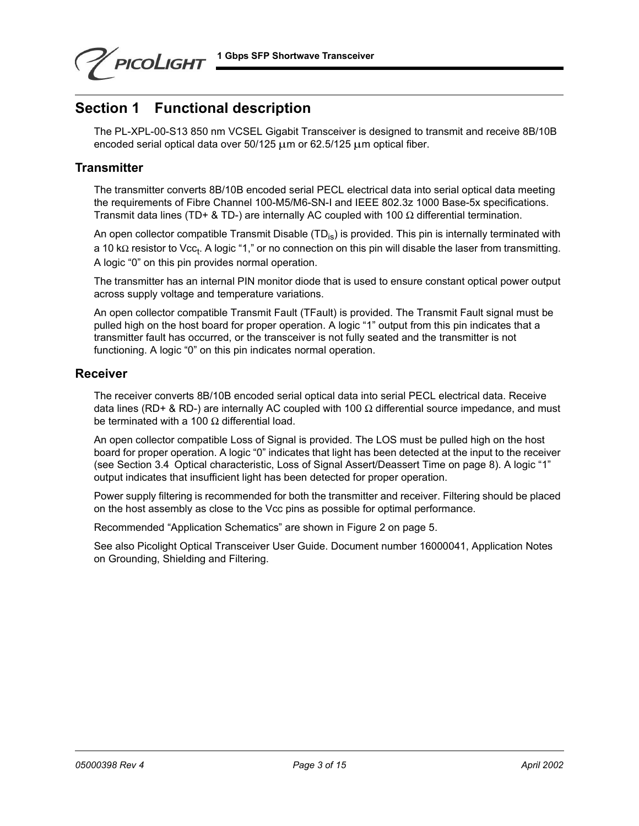**1 Gbps SFP Shortwave Transceiver**



# **Section 1 Functional description**

The PL-XPL-00-S13 850 nm VCSEL Gigabit Transceiver is designed to transmit and receive 8B/10B encoded serial optical data over 50/125  $\mu$ m or 62.5/125  $\mu$ m optical fiber.

### **Transmitter**

The transmitter converts 8B/10B encoded serial PECL electrical data into serial optical data meeting the requirements of Fibre Channel 100-M5/M6-SN-I and IEEE 802.3z 1000 Base-5x specifications. Transmit data lines (TD+ & TD-) are internally AC coupled with 100  $\Omega$  differential termination.

An open collector compatible Transmit Disable  $(TD_{iS})$  is provided. This pin is internally terminated with a 10 kΩ resistor to Vcc<sub>t</sub>. A logic "1," or no connection on this pin will disable the laser from transmitting. A logic "0" on this pin provides normal operation.

The transmitter has an internal PIN monitor diode that is used to ensure constant optical power output across supply voltage and temperature variations.

An open collector compatible Transmit Fault (TFault) is provided. The Transmit Fault signal must be pulled high on the host board for proper operation. A logic "1" output from this pin indicates that a transmitter fault has occurred, or the transceiver is not fully seated and the transmitter is not functioning. A logic "0" on this pin indicates normal operation.

### **Receiver**

The receiver converts 8B/10B encoded serial optical data into serial PECL electrical data. Receive data lines (RD+ & RD-) are internally AC coupled with 100  $\Omega$  differential source impedance, and must be terminated with a 100  $\Omega$  differential load.

An open collector compatible Loss of Signal is provided. The LOS must be pulled high on the host board for proper operation. A logic "0" indicates that light has been detected at the input to the receiver (see [Section 3.4 Optical characteristic](#page-8-0), Loss of Signal Assert/Deassert Time on page 8). A logic "1" output indicates that insufficient light has been detected for proper operation.

Power supply filtering is recommended for both the transmitter and receiver. Filtering should be placed on the host assembly as close to the Vcc pins as possible for optimal performance.

Recommended "Application Schematics" are shown in [Figure 2 on page 5.](#page-4-0)

See also Picolight Optical Transceiver User Guide. Document number 16000041, Application Notes on Grounding, Shielding and Filtering.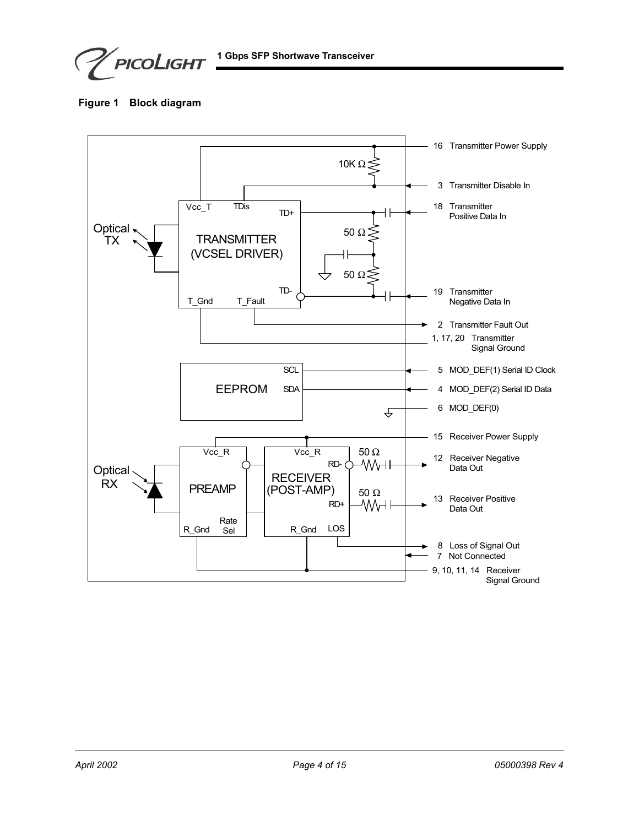PICOLIGHT

**Figure 1 Block diagram**

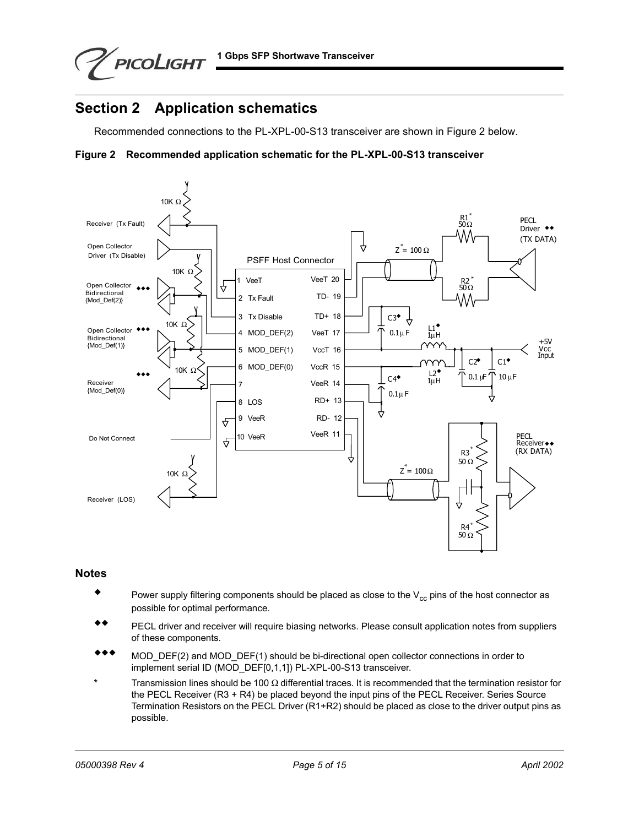PICOLIGHT

# <span id="page-4-1"></span>**Section 2 Application schematics**

Recommended connections to the PL-XPL-00-S13 transceiver are shown in [Figure 2 b](#page-4-0)elow.

<span id="page-4-0"></span>



#### **Notes**

- $\bullet$  Power supply filtering components should be placed as close to the V<sub>cc</sub> pins of the host connector as possible for optimal performance.
- \*\* PECL driver and receiver will require biasing networks. Please consult application notes from suppliers of these components.
- \*\*\* MOD\_DEF(2) and MOD\_DEF(1) should be bi-directional open collector connections in order to implement serial ID (MOD\_DEF[0,1,1]) PL-XPL-00-S13 transceiver.
- **\*** Transmission lines should be 100 Ω differential traces. It is recommended that the termination resistor for the PECL Receiver (R3 + R4) be placed beyond the input pins of the PECL Receiver. Series Source Termination Resistors on the PECL Driver (R1+R2) should be placed as close to the driver output pins as possible.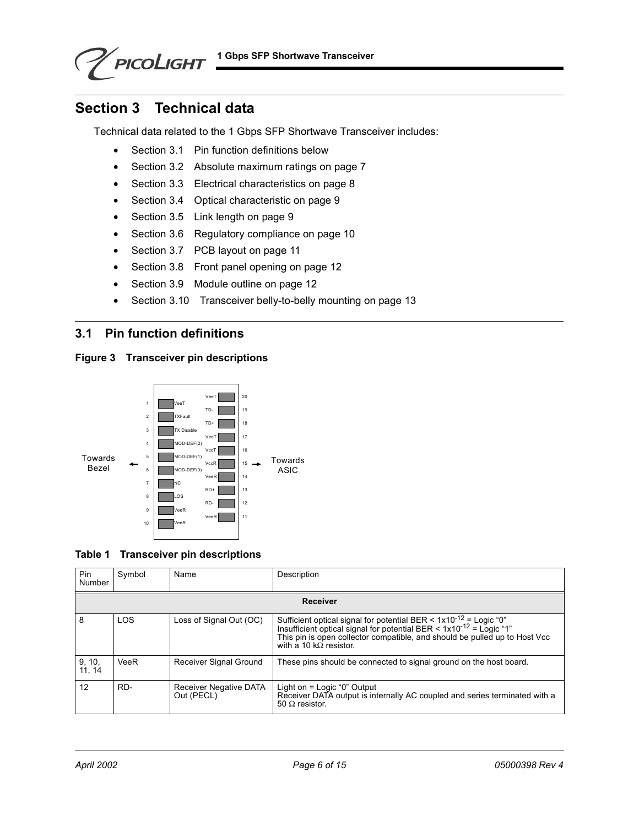# **Section 3 Technical data**

PICOLIGHT

Technical data related to the 1 Gbps SFP Shortwave Transceiver includes:

- **•** [Section 3.1 Pin function definitions below](#page-5-0)
- **•** [Section 3.2 Absolute maximum ratings on page 7](#page-6-0)
- **•** [Section 3.3 Electrical characteristics on page 8](#page-7-0)
- **•** [Section 3.4 Optical characteristic on page 9](#page-8-0)
- **•** [Section 3.5 Link length on page 9](#page-8-1)
- **•** [Section 3.6 Regulatory compliance on page 10](#page-9-0)
- **•** [Section 3.7 PCB layout on page 11](#page-10-0)
- **•** [Section 3.8 Front panel opening on page 12](#page-11-0)
- **•** [Section 3.9 Module outline on page 12](#page-11-1)
- **•** [Section 3.10 Transceiver belly-to-belly mounting on page 13](#page-12-0)

### <span id="page-5-0"></span>**3.1 Pin function definitions**







| Pin<br>Number    | Symbol | Name                                 | Description                                                                                                                                                                                                                                                              |
|------------------|--------|--------------------------------------|--------------------------------------------------------------------------------------------------------------------------------------------------------------------------------------------------------------------------------------------------------------------------|
|                  |        |                                      | <b>Receiver</b>                                                                                                                                                                                                                                                          |
| 8                | LOS    | Loss of Signal Out (OC)              | Sufficient optical signal for potential BER < $1 \times 10^{-12}$ = Logic "0"<br>Insufficient optical signal for potential BER < $1 \times 10^{-12}$ = Logic "1"<br>This pin is open collector compatible, and should be pulled up to Host Vcc<br>with a 10 kQ resistor. |
| 9, 10,<br>11, 14 | VeeR   | Receiver Signal Ground               | These pins should be connected to signal ground on the host board.                                                                                                                                                                                                       |
| 12               | RD-    | Receiver Negative DATA<br>Out (PECL) | Light on $=$ Logic "0" Output<br>Receiver DATA output is internally AC coupled and series terminated with a<br>50 $\Omega$ resistor.                                                                                                                                     |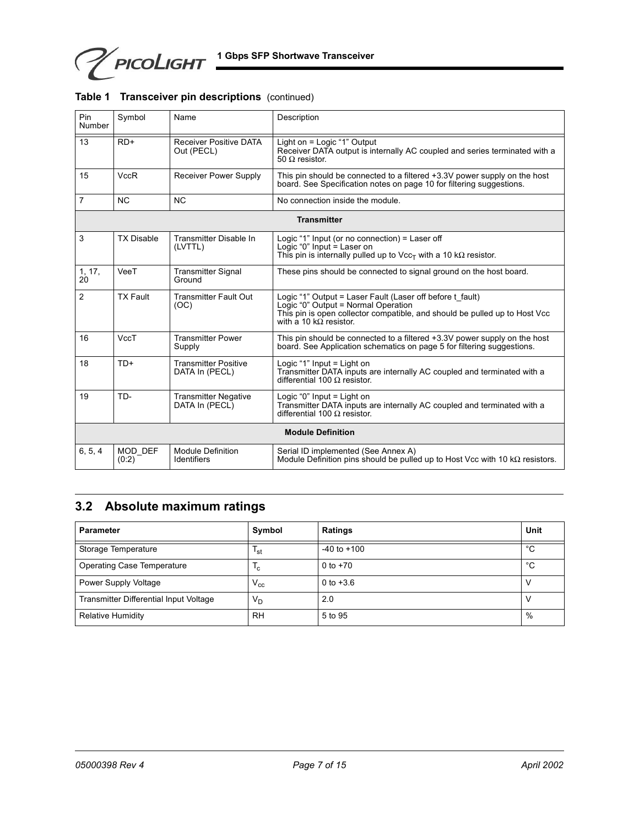**PICOLIGHT** 1 Gbps SFP Shortwave Transceiver

| Pin<br>Number  | Symbol            | Name                                           | Description                                                                                                                                                                                                      |
|----------------|-------------------|------------------------------------------------|------------------------------------------------------------------------------------------------------------------------------------------------------------------------------------------------------------------|
| 13             | $RD+$             | <b>Receiver Positive DATA</b><br>Out (PECL)    | Light on = Logic "1" Output<br>Receiver DATA output is internally AC coupled and series terminated with a<br>50 $\Omega$ resistor.                                                                               |
| 15             | <b>VccR</b>       | <b>Receiver Power Supply</b>                   | This pin should be connected to a filtered +3.3V power supply on the host<br>board. See Specification notes on page 10 for filtering suggestions.                                                                |
| $\overline{7}$ | <b>NC</b>         | <b>NC</b>                                      | No connection inside the module.                                                                                                                                                                                 |
|                |                   |                                                | <b>Transmitter</b>                                                                                                                                                                                               |
| 3              | <b>TX Disable</b> | Transmitter Disable In<br>(LVTTL)              | Logic "1" Input (or no connection) = Laser off<br>Logic "0" Input $=$ Laser on<br>This pin is internally pulled up to $\text{Vec}_{T}$ with a 10 k $\Omega$ resistor.                                            |
| 1, 17,<br>20   | VeeT              | <b>Transmitter Signal</b><br>Ground            | These pins should be connected to signal ground on the host board.                                                                                                                                               |
| $\overline{2}$ | <b>TX Fault</b>   | <b>Transmitter Fault Out</b><br>(OC)           | Logic "1" Output = Laser Fault (Laser off before t_fault)<br>Logic "0" Output = Normal Operation<br>This pin is open collector compatible, and should be pulled up to Host Vcc<br>with a 10 k $\Omega$ resistor. |
| 16             | VccT              | <b>Transmitter Power</b><br>Supply             | This pin should be connected to a filtered +3.3V power supply on the host<br>board. See Application schematics on page 5 for filtering suggestions.                                                              |
| 18             | $TD+$             | <b>Transmitter Positive</b><br>DATA In (PECL)  | Logic "1" Input $=$ Light on<br>Transmitter DATA inputs are internally AC coupled and terminated with a<br>differential 100 $\Omega$ resistor.                                                                   |
| 19             | TD-               | <b>Transmitter Negative</b><br>DATA In (PECL)  | Logic "0" Input $=$ Light on<br>Transmitter DATA inputs are internally AC coupled and terminated with a<br>differential 100 $\Omega$ resistor.                                                                   |
|                |                   |                                                | <b>Module Definition</b>                                                                                                                                                                                         |
| 6, 5, 4        | MOD DEF<br>(0:2)  | <b>Module Definition</b><br><b>Identifiers</b> | Serial ID implemented (See Annex A)<br>Module Definition pins should be pulled up to Host Vcc with 10 $k\Omega$ resistors.                                                                                       |

#### **Table 1 Transceiver pin descriptions** (continued)

# <span id="page-6-0"></span>**3.2 Absolute maximum ratings**

| <b>Parameter</b>                       | Symbol          | <b>Ratings</b>  | Unit         |
|----------------------------------------|-----------------|-----------------|--------------|
| Storage Temperature                    | 'st             | $-40$ to $+100$ | °C           |
| <b>Operating Case Temperature</b>      | $l_{c}$         | 0 to $+70$      | $^{\circ}$ C |
| Power Supply Voltage                   | $V_{\text{cc}}$ | 0 to $+3.6$     |              |
| Transmitter Differential Input Voltage | V <sub>D</sub>  | 2.0             |              |
| <b>Relative Humidity</b>               | <b>RH</b>       | 5 to 95         | %            |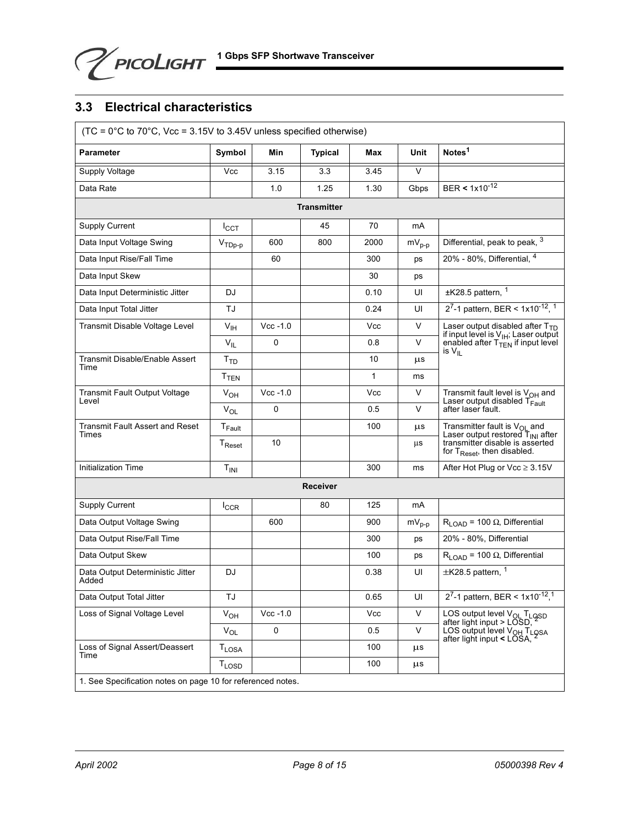## <span id="page-7-0"></span>**3.3 Electrical characteristics**

| $(TC = 0^{\circ}C$ to $70^{\circ}C$ , Vcc = 3.15V to 3.45V unless specified otherwise) |                        |             |                    |            |            |                                                                                                                                                          |  |
|----------------------------------------------------------------------------------------|------------------------|-------------|--------------------|------------|------------|----------------------------------------------------------------------------------------------------------------------------------------------------------|--|
| <b>Parameter</b>                                                                       | Symbol                 | Min         | <b>Typical</b>     | Max        | Unit       | Notes <sup>1</sup>                                                                                                                                       |  |
| Supply Voltage                                                                         | Vcc                    | 3.15        | 3.3                | 3.45       | $\vee$     |                                                                                                                                                          |  |
| Data Rate                                                                              |                        | 1.0         | 1.25               | 1.30       | Gbps       | BER < $1x10^{-12}$                                                                                                                                       |  |
|                                                                                        |                        |             | <b>Transmitter</b> |            |            |                                                                                                                                                          |  |
| Supply Current                                                                         | $I_{CCT}$              |             | 45                 | 70         | mA         |                                                                                                                                                          |  |
| Data Input Voltage Swing                                                               | $VTDp-p$               | 600         | 800                | 2000       | $mV_{p-p}$ | Differential, peak to peak, 3                                                                                                                            |  |
| Data Input Rise/Fall Time                                                              |                        | 60          |                    | 300        | ps         | 20% - 80%, Differential, 4                                                                                                                               |  |
| Data Input Skew                                                                        |                        |             |                    | 30         | ps         |                                                                                                                                                          |  |
| Data Input Deterministic Jitter                                                        | DJ                     |             |                    | 0.10       | UI         | $±K28.5$ pattern, $1$                                                                                                                                    |  |
| Data Input Total Jitter                                                                | TJ                     |             |                    | 0.24       | UI         | $2^7$ -1 pattern, BER < 1x10 <sup>-12</sup> , <sup>1</sup>                                                                                               |  |
| Transmit Disable Voltage Level                                                         | V <sub>IH</sub>        | $Vec - 1.0$ |                    | <b>Vcc</b> | V          | Laser output disabled after T <sub>TD</sub>                                                                                                              |  |
|                                                                                        | $\rm V_{\rm IL}$       | $\Omega$    |                    | 0.8        | V          | if input level is $V_{IH}$ ; Laser output<br>enabled after $T_{TEN}$ if input level                                                                      |  |
| Transmit Disable/Enable Assert<br>Time                                                 | T <sub>TD</sub>        |             |                    | 10         | μs         | is $V_{\rm II}$                                                                                                                                          |  |
|                                                                                        | <b>T<sub>TEN</sub></b> |             |                    | 1          | ms         |                                                                                                                                                          |  |
| <b>Transmit Fault Output Voltage</b><br>Level                                          | $V_{OH}$               | $Vec - 1.0$ |                    | <b>Vcc</b> | V          | Transmit fault level is $V_{OH}$ and<br>Laser output disabled $T_{Fault}$                                                                                |  |
|                                                                                        | $V_{OL}$               | 0           |                    | 0.5        | V          | after laser fault.                                                                                                                                       |  |
| <b>Transmit Fault Assert and Reset</b><br>Times                                        | $T_{\sf{Fault}}$       |             |                    | 100        | $\mu$ s    | Transmitter fault is $V_{OL}$ and<br>Laser output restored $T_{INI}$ after<br>transmitter disable is asserted<br>for T <sub>Reset</sub> , then disabled. |  |
|                                                                                        | T <sub>Reset</sub>     | 10          |                    |            | μs         |                                                                                                                                                          |  |
| <b>Initialization Time</b>                                                             | $T_{INI}$              |             |                    | 300        | ms         | After Hot Plug or $Vec \geq 3.15V$                                                                                                                       |  |
|                                                                                        |                        |             | <b>Receiver</b>    |            |            |                                                                                                                                                          |  |
| <b>Supply Current</b>                                                                  | $I_{CCR}$              |             | 80                 | 125        | mA         |                                                                                                                                                          |  |
| Data Output Voltage Swing                                                              |                        | 600         |                    | 900        | $mv_{p-p}$ | $R_{\text{LOAD}}$ = 100 $\Omega$ , Differential                                                                                                          |  |
| Data Output Rise/Fall Time                                                             |                        |             |                    | 300        | ps         | 20% - 80%, Differential                                                                                                                                  |  |
| Data Output Skew                                                                       |                        |             |                    | 100        | ps         | $R_{\text{LOAD}}$ = 100 $\Omega$ , Differential                                                                                                          |  |
| Data Output Deterministic Jitter<br>Added                                              | DJ                     |             |                    | 0.38       | UI         | $\pm$ K28.5 pattern, $1$                                                                                                                                 |  |
| Data Output Total Jitter                                                               | TJ                     |             |                    | 0.65       | UI         | 2 <sup>7</sup> -1 pattern, BER < $1x10^{-12}$ , <sup>1</sup>                                                                                             |  |
| Loss of Signal Voltage Level                                                           | $V_{OH}$               | $Vcc - 1.0$ |                    | <b>Vcc</b> | V          | LOS output level V <sub>OL</sub> T <sub>LOSD</sub><br>after light input > LOSD,                                                                          |  |
|                                                                                        | $\rm V_{OL}$           | 0           |                    | 0.5        | V          | LOS output level V <sub>OH</sub> T <sub>L</sub> 9SA<br>after light input < LOSA,                                                                         |  |
| Loss of Signal Assert/Deassert<br>Time                                                 | <b>TLOSA</b>           |             |                    | 100        | μs         |                                                                                                                                                          |  |
|                                                                                        | <b>TLOSD</b>           |             |                    | 100        | μs         |                                                                                                                                                          |  |
| 1. See Specification notes on page 10 for referenced notes.                            |                        |             |                    |            |            |                                                                                                                                                          |  |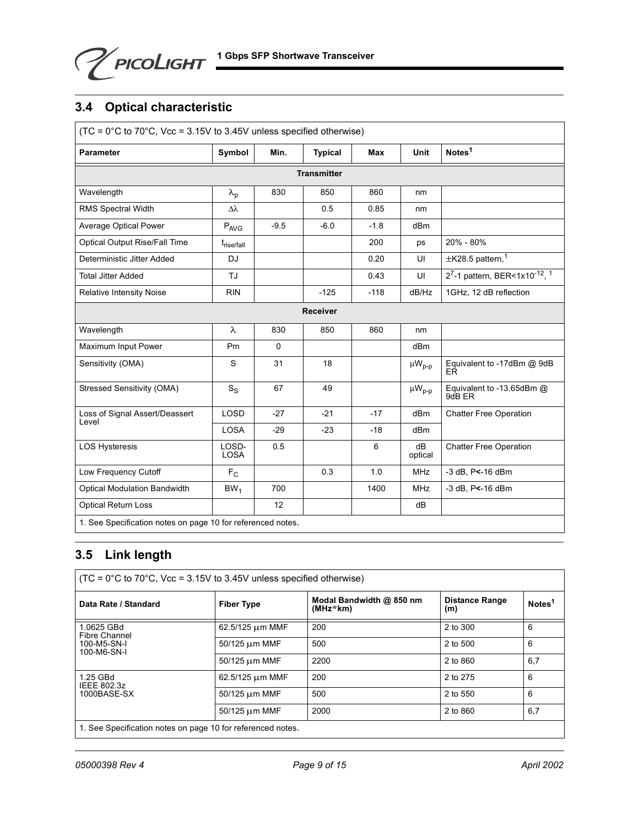PICOLIGHT 1 Gbps SFP Shortwave Transceiver

## <span id="page-8-0"></span>**3.4 Optical characteristic**

| $(TC = 0^{\circ}C$ to $70^{\circ}C$ , Vcc = 3.15V to 3.45V unless specified otherwise) |                           |        |                    |        |                 |                                     |
|----------------------------------------------------------------------------------------|---------------------------|--------|--------------------|--------|-----------------|-------------------------------------|
| <b>Parameter</b>                                                                       | Symbol                    | Min.   | <b>Typical</b>     | Max    | <b>Unit</b>     | Notes <sup>1</sup>                  |
|                                                                                        |                           |        | <b>Transmitter</b> |        |                 |                                     |
| Wavelength                                                                             | $\lambda_{\rm p}$         | 830    | 850                | 860    | nm              |                                     |
| RMS Spectral Width                                                                     | Δλ                        |        | 0.5                | 0.85   | nm              |                                     |
| Average Optical Power                                                                  | P <sub>AVG</sub>          | $-9.5$ | $-6.0$             | $-1.8$ | dB <sub>m</sub> |                                     |
| Optical Output Rise/Fall Time                                                          | t <sub>rise/fall</sub>    |        |                    | 200    | ps              | 20% - 80%                           |
| Deterministic Jitter Added                                                             | <b>DJ</b>                 |        |                    | 0.20   | UI              | $\pm$ K28.5 pattern, <sup>1</sup>   |
| <b>Total Jitter Added</b>                                                              | <b>TJ</b>                 |        |                    | 0.43   | UI              | 27-1 pattern, BER<1x10-12, 1        |
| <b>Relative Intensity Noise</b>                                                        | <b>RIN</b>                |        | $-125$             | $-118$ | dB/Hz           | 1GHz, 12 dB reflection              |
| <b>Receiver</b>                                                                        |                           |        |                    |        |                 |                                     |
| Wavelength                                                                             | $\lambda$                 | 830    | 850                | 860    | nm              |                                     |
| Maximum Input Power                                                                    | Pm                        | 0      |                    |        | dBm             |                                     |
| Sensitivity (OMA)                                                                      | S                         | 31     | 18                 |        | $\mu W_{p-p}$   | Equivalent to -17dBm @ 9dB<br>EŔ    |
| Stressed Sensitivity (OMA)                                                             | $\mathbf{S}_{\text{S}}$   | 67     | 49                 |        | $\mu W_{p-p}$   | Equivalent to -13.65dBm @<br>9dB ER |
| Loss of Signal Assert/Deassert<br>Level                                                | <b>LOSD</b>               | $-27$  | $-21$              | $-17$  | dBm             | <b>Chatter Free Operation</b>       |
|                                                                                        | <b>LOSA</b>               | $-29$  | $-23$              | $-18$  | dB <sub>m</sub> |                                     |
| <b>LOS Hysteresis</b>                                                                  | LOSD-<br><b>LOSA</b>      | 0.5    |                    | 6      | dB<br>optical   | <b>Chatter Free Operation</b>       |
| Low Frequency Cutoff                                                                   | $\mathsf{F}_{\mathsf{C}}$ |        | 0.3                | 1.0    | <b>MHz</b>      | -3 dB, P<-16 dBm                    |
| <b>Optical Modulation Bandwidth</b>                                                    | BW <sub>1</sub>           | 700    |                    | 1400   | <b>MHz</b>      | -3 dB, P<-16 dBm                    |
| <b>Optical Return Loss</b>                                                             |                           | 12     |                    |        | dB              |                                     |
| 1. See Specification notes on page 10 for referenced notes.                            |                           |        |                    |        |                 |                                     |

## <span id="page-8-1"></span>**3.5 Link length**

| $(TC = 0^{\circ}C$ to 70°C, Vcc = 3.15V to 3.45V unless specified otherwise) |                   |                                      |                              |                    |  |
|------------------------------------------------------------------------------|-------------------|--------------------------------------|------------------------------|--------------------|--|
| Data Rate / Standard                                                         | <b>Fiber Type</b> | Modal Bandwidth @ 850 nm<br>(MHz*km) | <b>Distance Range</b><br>(m) | Notes <sup>1</sup> |  |
| 1.0625 GBd<br>Fibre Channel                                                  | 62.5/125 µm MMF   | 200                                  | 2 to 300                     | 6                  |  |
| 100-M5-SN-I<br>100-M6-SN-I                                                   | 50/125 µm MMF     | 500                                  | 2 to 500                     | 6                  |  |
|                                                                              | 50/125 µm MMF     | 2200                                 | 2 to 860                     | 6,7                |  |
| 1.25 GBd<br>IEEE 802.3z                                                      | 62.5/125 um MMF   | 200                                  | 2 to 275                     | 6                  |  |
| 1000BASE-SX                                                                  | 50/125 µm MMF     | 500                                  | 2 to 550                     | 6                  |  |
|                                                                              | 50/125 µm MMF     | 2000                                 | 2 to 860                     | 6,7                |  |
| 1. See Specification notes on page 10 for referenced notes.                  |                   |                                      |                              |                    |  |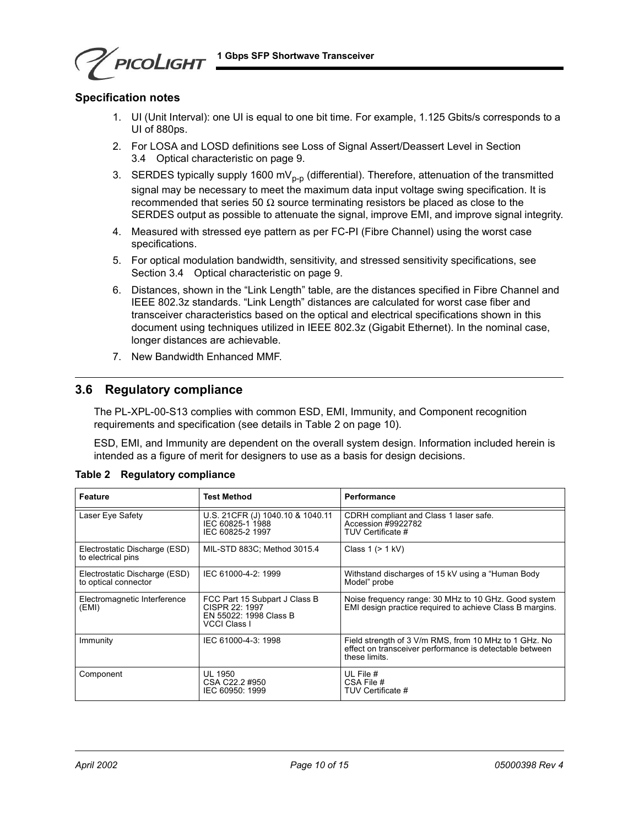**1 Gbps SFP Shortwave Transceiver**

## **Specification notes**

PICOLIGHT

- 1. UI (Unit Interval): one UI is equal to one bit time. For example, 1.125 Gbits/s corresponds to a UI of 880ps.
- 2. For LOSA and LOSD definitions see Loss of Signal Assert/Deassert Level in [Section](#page-8-0)  [3.4 Optical characteristic on page 9.](#page-8-0)
- 3. SERDES typically supply 1600 mV<sub>p-p</sub> (differential). Therefore, attenuation of the transmitted signal may be necessary to meet the maximum data input voltage swing specification. It is recommended that series 50  $\Omega$  source terminating resistors be placed as close to the SERDES output as possible to attenuate the signal, improve EMI, and improve signal integrity.
- 4. Measured with stressed eye pattern as per FC-PI (Fibre Channel) using the worst case specifications.
- 5. For optical modulation bandwidth, sensitivity, and stressed sensitivity specifications, see [Section 3.4 Optical characteristic on page 9.](#page-8-0)
- 6. Distances, shown in the "Link Length" table, are the distances specified in Fibre Channel and IEEE 802.3z standards. "Link Length" distances are calculated for worst case fiber and transceiver characteristics based on the optical and electrical specifications shown in this document using techniques utilized in IEEE 802.3z (Gigabit Ethernet). In the nominal case, longer distances are achievable.
- 7. New Bandwidth Enhanced MMF.

### <span id="page-9-0"></span>**3.6 Regulatory compliance**

The PL-XPL-00-S13 complies with common ESD, EMI, Immunity, and Component recognition requirements and specification (see details in Table 2 on page 10).

ESD, EMI, and Immunity are dependent on the overall system design. Information included herein is intended as a figure of merit for designers to use as a basis for design decisions.

| Feature                                               | <b>Test Method</b>                                                                               | Performance                                                                                                                       |
|-------------------------------------------------------|--------------------------------------------------------------------------------------------------|-----------------------------------------------------------------------------------------------------------------------------------|
| Laser Eye Safety                                      | U.S. 21 CFR (J) 1040.10 & 1040.11<br>IEC 60825-1 1988<br>IEC 60825-2 1997                        | CDRH compliant and Class 1 laser safe.<br>Accession #9922782<br>TUV Certificate #                                                 |
| Electrostatic Discharge (ESD)<br>to electrical pins   | MIL-STD 883C; Method 3015.4                                                                      | Class $1$ ( $> 1$ kV)                                                                                                             |
| Electrostatic Discharge (ESD)<br>to optical connector | IEC 61000-4-2: 1999                                                                              | Withstand discharges of 15 kV using a "Human Body"<br>Model" probe                                                                |
| Electromagnetic Interference<br>(EMI)                 | FCC Part 15 Subpart J Class B<br>CISPR 22: 1997<br>EN 55022: 1998 Class B<br><b>VCCI Class I</b> | Noise frequency range: 30 MHz to 10 GHz. Good system<br>EMI design practice required to achieve Class B margins.                  |
| Immunity                                              | IEC 61000-4-3: 1998                                                                              | Field strength of 3 V/m RMS, from 10 MHz to 1 GHz. No<br>effect on transceiver performance is detectable between<br>these limits. |
| Component                                             | UL 1950<br>CSA C22.2 #950<br>IEC 60950: 1999                                                     | UL File #<br>CSA File #<br>TUV Certificate #                                                                                      |

|  | Table 2 Regulatory compliance |
|--|-------------------------------|
|  |                               |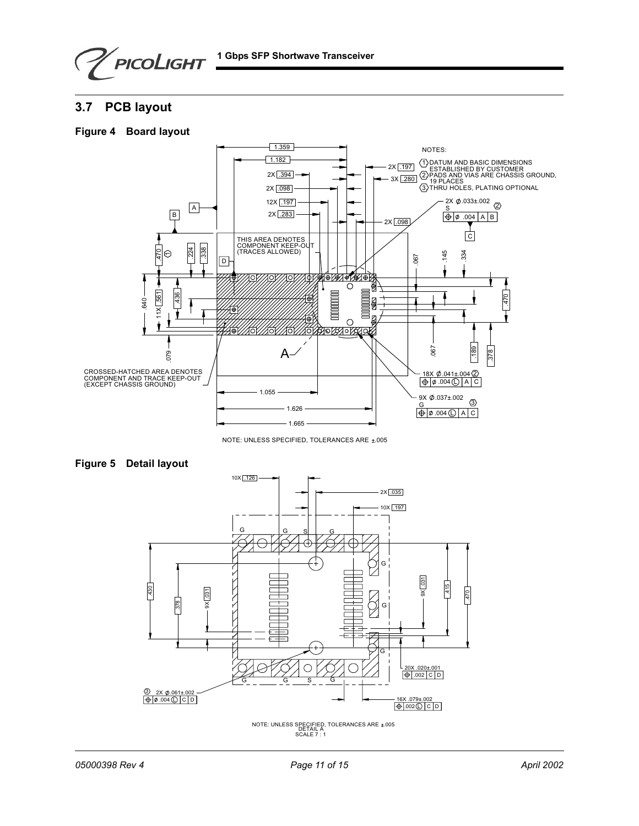

## <span id="page-10-0"></span>**3.7 PCB layout**





NOTE: UNLESS SPECIFIED, TOLERANCES ARE ±.005





DETAIL A SCALE 7 : 1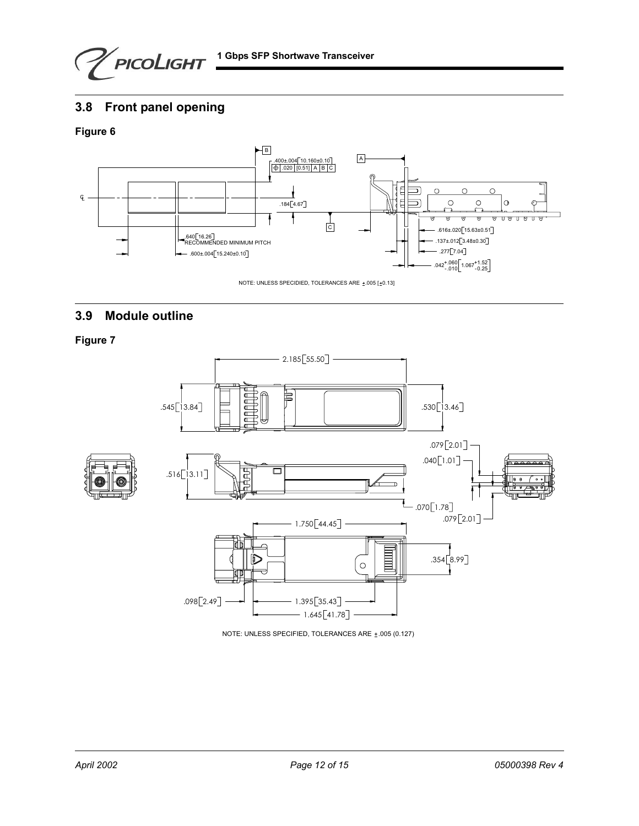**1 Gbps SFP Shortwave Transceiver** 

## <span id="page-11-0"></span>**3.8 Front panel opening**

### **Figure 6**



## <span id="page-11-1"></span>**3.9 Module outline**

**Figure 7**



NOTE: UNLESS SPECIFIED, TOLERANCES ARE  $±.005$  (0.127)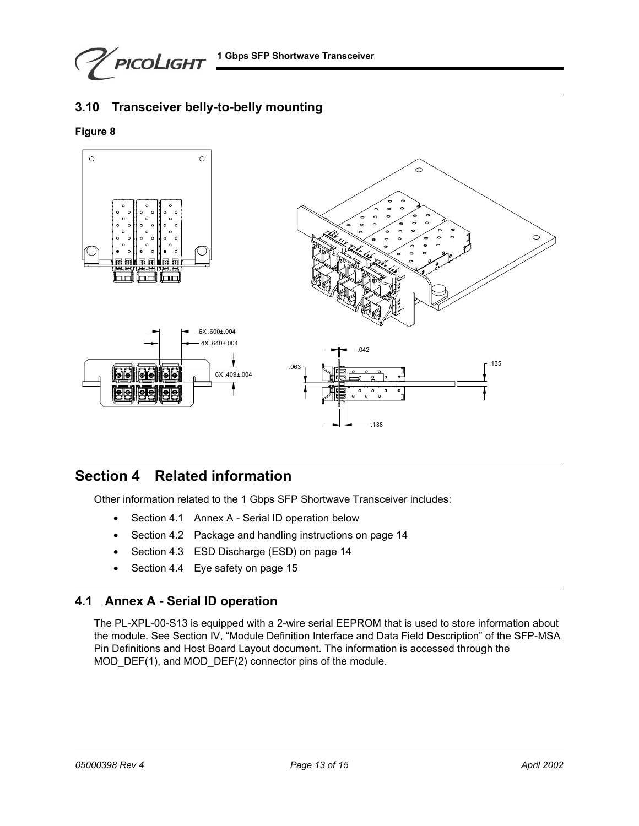PICOLIGHT

## <span id="page-12-0"></span>**3.10 Transceiver belly-to-belly mounting**

### **Figure 8**



# **Section 4 Related information**

Other information related to the 1 Gbps SFP Shortwave Transceiver includes:

- **•** [Section 4.1 Annex A Serial ID operation below](#page-12-1)
- **•** [Section 4.2 Package and handling instructions on page 14](#page-13-0)
- **•** [Section 4.3 ESD Discharge \(ESD\) on page 14](#page-13-1)
- **•** [Section 4.4 Eye safety on page 15](#page-14-0)

## <span id="page-12-1"></span>**4.1 Annex A - Serial ID operation**

The PL-XPL-00-S13 is equipped with a 2-wire serial EEPROM that is used to store information about the module. See Section IV, "Module Definition Interface and Data Field Description" of the SFP-MSA Pin Definitions and Host Board Layout document. The information is accessed through the MOD\_DEF(1), and MOD\_DEF(2) connector pins of the module.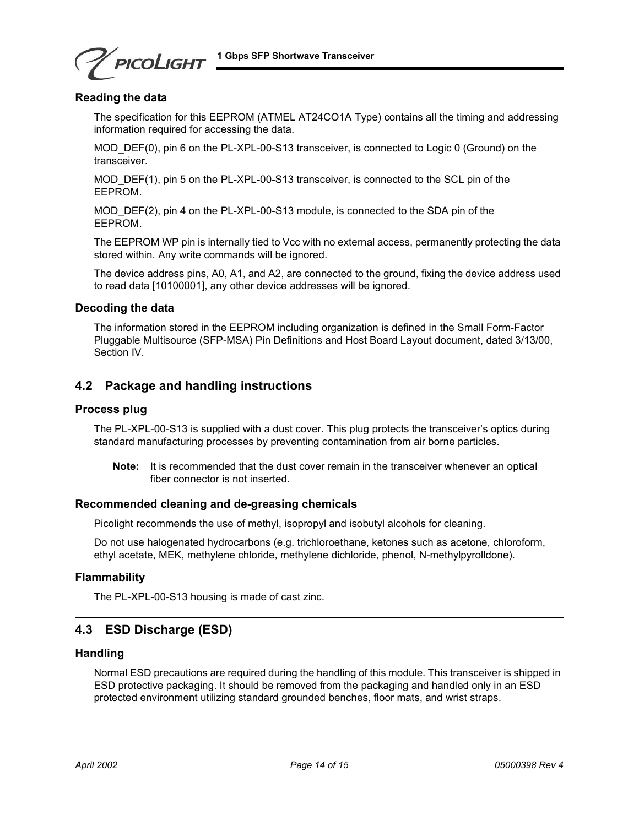PICOLIGHT

### **Reading the data**

The specification for this EEPROM (ATMEL AT24CO1A Type) contains all the timing and addressing information required for accessing the data.

MOD DEF(0), pin 6 on the PL-XPL-00-S13 transceiver, is connected to Logic 0 (Ground) on the transceiver.

MOD DEF(1), pin 5 on the PL-XPL-00-S13 transceiver, is connected to the SCL pin of the EEPROM.

MOD DEF(2), pin 4 on the PL-XPL-00-S13 module, is connected to the SDA pin of the EEPROM.

The EEPROM WP pin is internally tied to Vcc with no external access, permanently protecting the data stored within. Any write commands will be ignored.

The device address pins, A0, A1, and A2, are connected to the ground, fixing the device address used to read data [10100001], any other device addresses will be ignored.

### **Decoding the data**

The information stored in the EEPROM including organization is defined in the Small Form-Factor Pluggable Multisource (SFP-MSA) Pin Definitions and Host Board Layout document, dated 3/13/00, Section IV.

### <span id="page-13-0"></span>**4.2 Package and handling instructions**

#### **Process plug**

The PL-XPL-00-S13 is supplied with a dust cover. This plug protects the transceiver's optics during standard manufacturing processes by preventing contamination from air borne particles.

**Note:** It is recommended that the dust cover remain in the transceiver whenever an optical fiber connector is not inserted.

#### **Recommended cleaning and de-greasing chemicals**

Picolight recommends the use of methyl, isopropyl and isobutyl alcohols for cleaning.

Do not use halogenated hydrocarbons (e.g. trichloroethane, ketones such as acetone, chloroform, ethyl acetate, MEK, methylene chloride, methylene dichloride, phenol, N-methylpyrolldone).

#### **Flammability**

The PL-XPL-00-S13 housing is made of cast zinc.

## <span id="page-13-1"></span>**4.3 ESD Discharge (ESD)**

### **Handling**

Normal ESD precautions are required during the handling of this module. This transceiver is shipped in ESD protective packaging. It should be removed from the packaging and handled only in an ESD protected environment utilizing standard grounded benches, floor mats, and wrist straps.